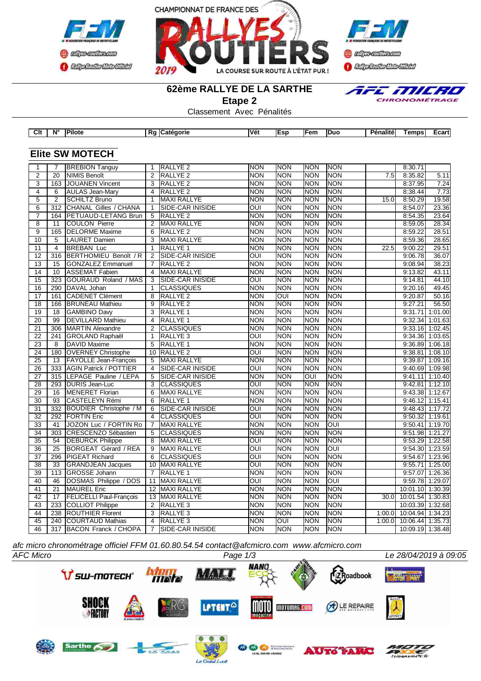





### **62ème RALLYE DE LA SARTHE**

**Etape 2**



Classement Avec Pénalités

| Clt             | $N^{\circ}$      | Pilote                                             |                 | Rg Catégorie                               | Vét                      | <b>Esp</b>               | Fem                      | Duo                      | Pénalité         | <b>Temps</b>                         | Ecart             |
|-----------------|------------------|----------------------------------------------------|-----------------|--------------------------------------------|--------------------------|--------------------------|--------------------------|--------------------------|------------------|--------------------------------------|-------------------|
|                 |                  |                                                    |                 |                                            |                          |                          |                          |                          |                  |                                      |                   |
|                 |                  | <b>Elite SW MOTECH</b>                             |                 |                                            |                          |                          |                          |                          |                  |                                      |                   |
| $\mathbf{1}$    | $\overline{7}$   | <b>BREBION Tanguy</b>                              | 1               | <b>RALLYE 2</b>                            | <b>NON</b>               | <b>NON</b>               | <b>NON</b>               | <b>NON</b>               |                  | 8:30.71                              |                   |
| $\overline{2}$  | 20               | <b>NIMIS Benoît</b>                                | 2               | RALLYE <sub>2</sub>                        | <b>NON</b>               | <b>NON</b>               | <b>NON</b>               | <b>NON</b>               | 7.5              | 8:35.82                              | 5.11              |
| 3               | 163              | <b>JOUANEN Vincent</b>                             | 3               | RALLYE <sub>2</sub>                        | <b>NON</b>               | NON                      | <b>NON</b>               | <b>NON</b>               |                  | 8:37.95                              | 7.24              |
| 4               | 6                | <b>AULAS Jean-Mary</b>                             | 4               | RALLYE <sub>2</sub>                        | <b>NON</b>               | <b>NON</b>               | <b>NON</b>               | <b>NON</b>               |                  | 8:38.44                              | 7.73              |
| $\overline{5}$  | $\overline{2}$   | <b>SCHILTZ Bruno</b>                               | $\mathbf{1}$    | <b>MAXI RALLYE</b>                         | <b>NON</b>               | <b>NON</b>               | <b>NON</b>               | <b>NON</b>               | 15.0             | 8:50.29                              | 19.58             |
| 6               | 312              | <b>CHANAL Gilles / CHANA</b>                       | $\mathbf{1}$    | SIDE-CAR INISIDE                           | OUI                      | <b>NON</b>               | <b>NON</b>               | <b>NON</b>               |                  | 8:54.07                              | 23.36             |
| $\overline{7}$  | 164              | PETUAUD-LETANG Brun                                | $\overline{5}$  | <b>RALLYE 2</b>                            | <b>NON</b>               | NON                      | <b>NON</b>               | <b>NON</b>               |                  | 8:54.35                              | 23.64             |
| $\overline{8}$  | 11               | <b>COULON Pierre</b>                               | $\overline{2}$  | <b>MAXI RALLYE</b>                         | <b>NON</b>               | <b>NON</b>               | <b>NON</b>               | <b>NON</b>               |                  | 8:59.05                              | 28.34             |
| $\overline{9}$  | 165              | <b>DELORME Maxime</b>                              | $\overline{6}$  | <b>RALLYE 2</b>                            | <b>NON</b>               | <b>NON</b>               | <b>NON</b>               | <b>NON</b>               |                  | 8:59.22                              | 28.51             |
| 10              | $\overline{5}$   | <b>LAURET Damien</b>                               | 3               | <b>MAXI RALLYE</b>                         | <b>NON</b>               | <b>NON</b>               | <b>NON</b>               | <b>NON</b>               |                  | 8:59.36                              | 28.65             |
| $\overline{11}$ | $\overline{4}$   | <b>BREBAN</b> Luc                                  | $\mathbf{1}$    | <b>RALLYE 1</b>                            | <b>NON</b>               | <b>NON</b>               | <b>NON</b>               | <b>NON</b>               | 22.5             | 9:00.22                              | 29.51             |
| 12              | 316              | BERTHOMIEU Benoît / R                              | $\overline{2}$  | <b>SIDE-CAR INISIDE</b>                    | <b>OUI</b>               | <b>NON</b>               | <b>NON</b>               | <b>NON</b>               |                  | 9:06.78                              | 36.07             |
| 13              | 15               | <b>GONZALEZ Emmanuel</b>                           | $\overline{7}$  | RALLYE <sub>2</sub>                        | <b>NON</b>               | <b>NON</b>               | <b>NON</b>               | <b>NON</b>               |                  | 9:08.94                              | 38.23             |
| 14              | 10               | <b>ASSEMAT Fabien</b>                              | $\overline{4}$  | <b>MAXI RALLYE</b>                         | <b>NON</b>               | <b>NON</b>               | <b>NON</b>               | <b>NON</b>               |                  | 9:13.82                              | 43.11             |
| 15              | 323              | <b>GOURAUD Roland / MAS</b>                        | 3               | <b>SIDE-CAR INISIDE</b>                    | OUI                      | <b>NON</b>               | <b>NON</b>               | <b>NON</b>               |                  | 9:14.81                              | 44.10             |
| 16              | 290              | DAVAL Johan                                        | $\mathbf{1}$    | <b>CLASSIQUES</b>                          | <b>NON</b>               | <b>NON</b>               | <b>NON</b>               | <b>NON</b>               |                  | 9:20.16                              | 49.45             |
| $\overline{17}$ | 161              | <b>CADENET Clément</b>                             | $\overline{8}$  | RALLYE <sub>2</sub>                        | <b>NON</b>               | $\overline{OUI}$         | <b>NON</b>               | <b>NON</b>               |                  | 9:20.87                              | 50.16             |
| 18              | 166              | <b>BRUNEAU Mathieu</b>                             | $\overline{9}$  | RALLYE <sub>2</sub>                        | <b>NON</b>               | <b>NON</b>               | <b>NON</b>               | <b>NON</b>               |                  | 9:27.21                              | 56.50             |
| $\overline{19}$ | $\overline{18}$  | <b>GAMBINO Davy</b>                                | $\overline{3}$  | <b>RALLYE 1</b>                            | <b>NON</b>               | NON                      | <b>NON</b>               | <b>NON</b>               |                  | 9:31.71                              | 1:01.00           |
| $\overline{20}$ | 99               | <b>DEVILLARD Mathieu</b>                           | $\overline{4}$  | <b>RALLYE 1</b>                            | <b>NON</b>               | <b>NON</b>               | <b>NON</b>               | <b>NON</b>               |                  | 9:32.34                              | 1:01.63           |
| $\overline{21}$ | 306              | <b>MARTIN Alexandre</b>                            | $\overline{2}$  | <b>CLASSIQUES</b>                          | <b>NON</b>               | <b>NON</b>               | <b>NON</b>               | <b>NON</b>               |                  | 9:33.16                              | 1:02.45           |
| 22              | 241              | <b>GROLAND Raphaël</b>                             | $\mathbf{1}$    | RALLYE <sub>3</sub>                        | <b>OUI</b>               | <b>NON</b>               | <b>NON</b>               | <b>NON</b>               |                  | 9:34.36                              | 1:03.65           |
| 23              | 8                | DAVID Maxime                                       | 5               | RALLYE <sub>1</sub>                        | <b>NON</b>               | <b>NON</b>               | <b>NON</b>               | <b>NON</b>               |                  |                                      | 9:36.89 1:06.18   |
| 24              | 180              | <b>OVERNEY Christophe</b>                          | 10              | <b>RALLYE 2</b>                            | <b>OUI</b>               | <b>NON</b>               | <b>NON</b>               | <b>NON</b>               |                  | 9:38.81                              | 1:08.10           |
| 25              | 13               | <b>FAYOLLE Jean-François</b>                       | 5               | <b>MAXI RALLYE</b>                         | <b>NON</b>               | <b>NON</b>               | <b>NON</b>               | <b>NON</b>               |                  | 9:39.87                              | 1:09.16           |
| 26              | 333              | <b>AGIN Patrick / POTTIER</b>                      | $\overline{4}$  | SIDE-CAR INISIDE                           | OUI                      | <b>NON</b>               | <b>NON</b>               | <b>NON</b>               |                  |                                      | 9:40.69 1:09.98   |
| 27              | 315              | LEPAGE Pauline / LEPA                              | 5               | <b>SIDE-CAR INISIDE</b>                    | <b>NON</b>               | <b>NON</b>               | OUI                      | <b>NON</b>               |                  |                                      | $9:41.11$ 1:10.40 |
| 28              | 293              | <b>DURIS Jean-Luc</b>                              | $\overline{3}$  | CLASSIQUES                                 | $\overline{OUI}$         | <b>NON</b>               | <b>NON</b>               | <b>NON</b>               |                  | 9:42.81                              | 1:12.10           |
| 29              | 16               | <b>MENERET Florian</b>                             | 6               | <b>MAXI RALLYE</b>                         | <b>NON</b>               | NON                      | <b>NON</b>               | <b>NON</b>               |                  | 9:43.38                              | 1:12.67           |
| $\overline{30}$ | 93               | <b>CASTELEYN Rémi</b>                              | 6               | <b>RALLYE 1</b>                            | <b>NON</b>               | NON                      | <b>NON</b>               | <b>NON</b>               |                  | 9:46.12                              | 1:15.41           |
| 31              | 332              | BOUDIER Christophe / M                             | 6               | <b>SIDE-CAR INISIDE</b>                    | OUI                      | <b>NON</b>               | <b>NON</b>               | <b>NON</b>               |                  |                                      | $9:48.43$ 1:17.72 |
| $\overline{32}$ | 292              | <b>FORTIN Eric</b>                                 | $\overline{4}$  | <b>CLASSIQUES</b>                          | $\overline{O}$           | <b>NON</b>               | <b>NON</b>               | <b>NON</b>               |                  | 9:50.32                              | 1:19.61           |
| 33              | 41               | JOZON Luc / FORTIN Ro                              | 7               | MAXI RALLYE                                | <b>NON</b>               | NON                      | <b>NON</b>               | $\overline{\text{OUI}}$  |                  |                                      | 9:50.41 1:19.70   |
| $\overline{34}$ | 303              | <b>CRESCENZO Sébastien</b>                         | 5               | <b>CLASSIQUES</b>                          | <b>NON</b>               | NON                      | <b>NON</b>               | <b>NON</b>               |                  |                                      | 9:51.98 1:21.27   |
| $\overline{35}$ | 54               | <b>DEBURCK Philippe</b>                            | 8               | <b>MAXI RALLYE</b>                         | ОUІ                      | <b>NON</b>               | <b>NON</b>               | <b>NON</b>               |                  |                                      | $9:53.29$ 1:22.58 |
| 36              | 25               | <b>BORGEAT Gérard / REA</b>                        | $\overline{9}$  | <b>MAXI RALLYE</b>                         | OUI                      | <b>NON</b>               | <b>NON</b>               | OUI                      |                  |                                      | 9:54.30 1:23.59   |
| 37              | 296              | <b>PIGEAT Richard</b>                              | 6               | <b>CLASSIQUES</b>                          | OUI                      | <b>NON</b>               | <b>NON</b>               | <b>NON</b>               |                  |                                      | 9:54.67 1:23.96   |
| 38              | 33               | <b>GRANDJEAN Jacques</b>                           | 10              | <b>MAXI RALLYE</b>                         | $\overline{OUI}$         | <b>NON</b>               | <b>NON</b>               | <b>NON</b>               |                  |                                      | 9:55.71 1:25.00   |
| 39              | $\overline{113}$ | <b>GROSSE Johann</b>                               | $\overline{7}$  | RALLYE <sub>1</sub>                        | <b>NON</b>               | <b>NON</b>               | <b>NON</b>               | <b>NON</b>               |                  |                                      | 9:57.07 1:26.36   |
| 40              | 46               | DOSMAS Philippe / DOS                              | $\overline{11}$ | <b>MAXI RALLYE</b>                         | $\overline{OUI}$         | <b>NON</b>               | <b>NON</b>               | OUI                      |                  |                                      | 9:59.78 1:29.07   |
| 41              | 21               | <b>MAUREL Eric</b>                                 | 12              | MAXI RALLYE                                | <b>NON</b>               | <b>NON</b>               | <b>NON</b>               | <b>NON</b>               |                  | 10:01.10 1:30.39                     |                   |
| 42              | 17               |                                                    | $\overline{13}$ | <b>MAXI RALLYE</b>                         | <b>NON</b>               | <b>NON</b>               | <b>NON</b>               | <b>NON</b>               | 30.0             | 10:01.54 1:30.83                     |                   |
|                 |                  | <b>FELICELLI Paul-François</b>                     | 2               |                                            |                          |                          |                          |                          |                  | 10:03.39 1:32.68                     |                   |
| 43<br>44        | 233<br>238       | <b>COLLIOT Philippe</b><br><b>ROUTHIER Florent</b> | 3               | RALLYE <sub>3</sub>                        | <b>NON</b><br><b>NON</b> | <b>NON</b><br><b>NON</b> | <b>NON</b><br><b>NON</b> | <b>NON</b><br><b>NON</b> |                  |                                      |                   |
| 45              | 240              | <b>COURTAUD Mathias</b>                            | $\overline{4}$  | RALLYE <sub>3</sub><br>RALLYE <sub>3</sub> | <b>NON</b>               | $\overline{\text{OUI}}$  | <b>NON</b>               | <b>NON</b>               | 1:00.0<br>1:00.0 | 10:04.94 1:34.23<br>10:06.44 1:35.73 |                   |
|                 |                  |                                                    |                 |                                            |                          |                          |                          |                          |                  |                                      |                   |
| $\overline{46}$ |                  | 317 BACON Franck / CHOPA                           |                 | 7 SIDE-CAR INISIDE                         | NON                      | NON                      | <b>NON</b>               | <b>NON</b>               |                  | 10:09.19 1:38.48                     |                   |

*afc micro chronométrage officiel FFM 01.60.80.54.54 contact@afcmicro.com www.afcmicro.com*



 $d$ *Luce*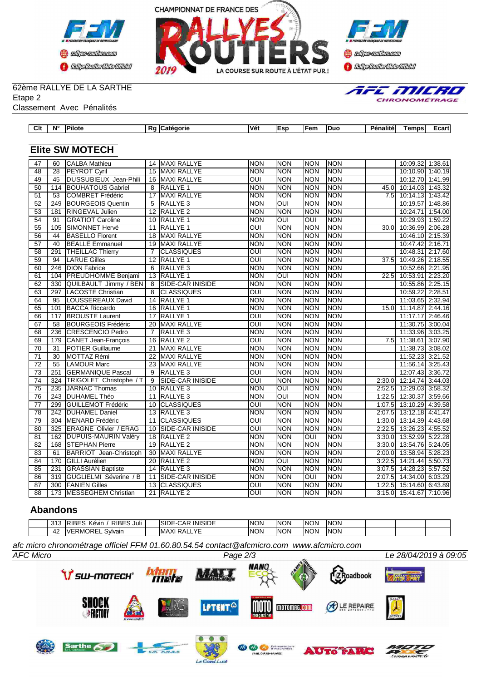





# 62ème RALLYE DE LA SARTHE

Etape 2 Classement Avec Pénalités

|  | AFE MILRI |  |                     |  |
|--|-----------|--|---------------------|--|
|  |           |  | <b>CHRONOMÉTRAC</b> |  |

| Clt | $N^{\circ}$ | <b>Pilote</b>                |   | Rg Catégorie            | Vét         | <b>Esp</b>  | Fem           | <b>Duo</b> | <b>Pénalité</b> | Temps                     | Ecart |
|-----|-------------|------------------------------|---|-------------------------|-------------|-------------|---------------|------------|-----------------|---------------------------|-------|
|     |             |                              |   |                         |             |             |               |            |                 |                           |       |
|     |             | <b>Elite SW MOTECH</b>       |   |                         |             |             |               |            |                 |                           |       |
| 47  | 60          | <b>CALBA Mathieu</b>         |   | 14 MAXI RALLYE          | <b>INON</b> | Inon        | <b>NON</b>    | <b>NON</b> |                 | 10:09.32 1:38.61          |       |
| 48  | 28          | <b>PEYROT Cyril</b>          |   | 15 MAXI RALLYE          | INON        | Inon        | NON           | <b>NON</b> |                 | 10:10.90 1:40.19          |       |
| 49  | 45          | <b>DUSSUBIEUX Jean-Phili</b> |   | 16 MAXI RALLYE          | <b>OUI</b>  | Inon        | <b>NON</b>    | <b>NON</b> |                 | 10:12.70 1:41.99          |       |
| 50  | 114         | <b>BOUHATOUS Gabriel</b>     |   | 8 RALLYE 1              | <b>NON</b>  | Inon        | Inon          | <b>NON</b> | 45.0I           | 10:14.03 1:43.32          |       |
| 51  | 53          | COMBRET Frédéric             |   | 17 MAXI RALLYE          | Inon        | Inon        | <b>NON</b>    | <b>NON</b> |                 | 7.5 10:14.13 1:43.42      |       |
| 52  | 249         | <b>BOURGEOIS Quentin</b>     |   | 5 RALLYE 3              | INON        | IOUI        | <b>NON</b>    | <b>NON</b> |                 | 10:19.57 1:48.86          |       |
| 53  | 181         | <b>RINGEVAL Julien</b>       |   | 12 RALLYE 2             | <b>NON</b>  | Inon        | Inon          | <b>NON</b> |                 | 10:24.71 1:54.00          |       |
| 54  | 91          | <b>IGRATIOT Caroline</b>     |   | 10 RALLYE 1             | <b>NON</b>  | IOUI        | IOUI          | <b>NON</b> |                 | 10:29.93 1:59.22          |       |
| 55  | 105         | <b>ISIMONNET Hervé</b>       |   | 11 RALLYE 1             | OUI         | Inon        | <b>NON</b>    | <b>NON</b> | 30.0I           | 10:36.99 2:06.28          |       |
| 56  | 44          | <b>IBASELLO Florent</b>      |   | 18 MAXI RALLYE          | INON        | Inon        | <b>NON</b>    | <b>NON</b> |                 | 10:46.10 2:15.39          |       |
| 57  | 40          | <b>IBEALLE Emmanuel</b>      |   | 19 MAXI RALLYE          | INON        | Inon        | Inon          | <b>NON</b> |                 | 10:47.42 2:16.71          |       |
| 58  | 291         | <b>THEILLAC Thierry</b>      |   | <b>ICLASSIQUES</b>      | <b>OUI</b>  | Inon        | <b>NON</b>    | <b>NON</b> |                 | 10:48.31 2:17.60          |       |
| 59  | 94          | <b>LARUE Gilles</b>          |   | 12 RALLYE 1             | OUI         | Inon        | Inon          | <b>NON</b> | 37.5I           | 10:49.26 2:18.55          |       |
| 60  | 246         | <b>DION Fabrice</b>          |   | 6 RALLYE 3              | INON        | <b>INON</b> | <b>NON</b>    | <b>NON</b> |                 | 10:52.66 2:21.95          |       |
| 61  | 104         | <b>PREUDHOMME Benjami</b>    |   | 13 RALLYE 1             | <b>NON</b>  | loui        | <b>NON</b>    | <b>NON</b> | 22.5            | 10:53.91 2:23.20          |       |
| 62  | 330         | QUILBAULT Jimmy / BEN        | 8 | <b>SIDE-CAR INISIDE</b> | <b>NON</b>  | Inon        | <b>NON</b>    | <b>NON</b> |                 | 10:55.86 2:25.15          |       |
| 63  | 297         | <b>LACOSTE Christian</b>     | 8 | <b>ICLASSIQUES</b>      | <b>OUI</b>  | Inon        | <b>NON</b>    | <b>NON</b> |                 | 10:59.22 2:28.51          |       |
| 64  | 95          | LOUSSEREAUX David            |   | 14 RALLYE 1             | <b>NON</b>  | Inon        | <b>NON</b>    | <b>NON</b> |                 | 11:03.65 2:32.94          |       |
| 65  |             | 101 RACCA Riccardo           |   | $16$ D $\mu$ I V E 1    | ומראו       | <b>INON</b> | <b>INIONI</b> | <b>NON</b> |                 | $1501$ $11.1187$ $21.111$ |       |

| ◡▵ | ບບບ | <b>SOLUTULE SHIRTS / DLIVE</b> |    | בעוטוויו החטי בעוטן     | יישיו      | יישיון      | יישיו       | יישיי      |        | $10.00001$ 2.20.10   |  |
|----|-----|--------------------------------|----|-------------------------|------------|-------------|-------------|------------|--------|----------------------|--|
| 63 | 297 | LACOSTE Christian              |    | 8 CLASSIQUES            | <b>OUI</b> | <b>NON</b>  | Inon        | <b>NON</b> |        | 10:59.22 2:28.51     |  |
| 64 | 95  | LOUSSEREAUX David              |    | 14 RALLYE 1             | <b>NON</b> | <b>NON</b>  | Inon        | <b>NON</b> |        | 11:03.65 2:32.94     |  |
| 65 | 101 | <b>BACCA Riccardo</b>          |    | 16 RALLYE 1             | INON       | <b>NON</b>  | <b>NON</b>  | <b>NON</b> | 15.0   | 11:14.87 2:44.16     |  |
| 66 | 117 | <b>BROUSTE Laurent</b>         |    | 17 RALLYE 1             | loui       | <b>INON</b> | Inon        | <b>NON</b> |        | 11:17.17 2:46.46     |  |
| 67 | 58  | <b>BOURGEOIS Frédéric</b>      |    | 20 MAXI RALLYE          | OUI        | <b>NON</b>  | <b>INON</b> | <b>NON</b> |        | 11:30.75 3:00.04     |  |
| 68 | 236 | CRESCENCIO Pedro               |    | RALLYE <sub>3</sub>     | <b>NON</b> | <b>NON</b>  | Inon        | <b>NON</b> |        | 11:33.96 3:03.25     |  |
| 69 | 179 | CANET Jean-François            |    | 16 RALLYE 2             | loui       | <b>INON</b> | Inon        | <b>NON</b> |        | 7.5 11:38.61 3:07.90 |  |
| 70 | 31  | <b>IPOTIER Guillaume</b>       | 21 | <b>MAXI RALLYE</b>      | <b>NON</b> | <b>NON</b>  | <b>NON</b>  | <b>NON</b> |        | 11:38.73 3:08.02     |  |
| 71 | 30  | <b>IMOTTAZ Rémi</b>            | 22 | <b>MAXI RALLYE</b>      | <b>NON</b> | <b>INON</b> | Inon        | <b>NON</b> |        | 11:52.23 3:21.52     |  |
| 72 | 55  | <b>LAMOUR Marc</b>             |    | <b>MAXI RALLYE</b>      | <b>NON</b> | <b>INON</b> | Inon        | <b>NON</b> |        | 11:56.14 3:25.43     |  |
| 73 | 251 | <b>IGERMANIQUE Pascal</b>      | 9  | RALLYE <sub>3</sub>     | OUI        | <b>NON</b>  | Inon        | <b>NON</b> |        | 12:07.43 3:36.72     |  |
| 74 | 324 | TRIGOLET Christophe / T        | 9  | ISIDE-CAR INISIDE       | <b>OUI</b> | <b>INON</b> | Inon        | <b>NON</b> | 2:30.0 | 12:14.74 3:44.03     |  |
| 75 | 235 | <b>IJARNAC Thomas</b>          |    | 10 RALLYE 3             | <b>NON</b> | IOUI        | Inon        | <b>NON</b> | 2:52.5 | 12:29.03 3:58.32     |  |
| 76 | 243 | <b>DUHAMEL Théo</b>            | 11 | RALLYE <sub>3</sub>     | <b>NON</b> | IOUI        | Inon        | <b>NON</b> | 1:22.5 | 12:30.37 3:59.66     |  |
| 77 | 299 | <b>IGUILLEMOT Frédéric</b>     | 10 | <b>CLASSIQUES</b>       | loui       | <b>INON</b> | Inon        | <b>NON</b> | 1:07.5 | 13:10.29 4:39.58     |  |
| 78 | 242 | <b>DUHAMEL Daniel</b>          |    | 13 RALLYE 3             | <b>NON</b> | <b>NON</b>  | <b>NON</b>  | <b>NON</b> | 2:07.5 | 13:12.18 4:41.47     |  |
| 79 | 304 | MENARD Frédéric                |    | 11 CLASSIQUES           | OUI        | <b>NON</b>  | Inon        | <b>NON</b> | 1:30.0 | 13:14.39 4:43.68     |  |
| 80 | 325 | <b>ERAGNE Olivier / ERAG</b>   |    | 10 SIDE-CAR INISIDE     | OUI        | <b>NON</b>  | <b>NON</b>  | <b>NON</b> | 2:22.5 | 13:26.23 4:55.52     |  |
| 81 | 162 | DUPUIS-MAURIN Valéry           |    | 18 RALLYE 2             | <b>NON</b> | <b>NON</b>  | loui        | <b>NON</b> | 3:30.0 | 13:52.99 5:22.28     |  |
| 82 | 168 | <b>STEPHAN Pierre</b>          |    | 19 RALLYE 2             | <b>NON</b> | <b>NON</b>  | Inon        | <b>NON</b> | 3:30.0 | 13:54.76 5:24.05     |  |
| 83 | 61  | BARRIOT Jean-Christoph         |    | 30 MAXI RALLYE          | <b>NON</b> | <b>NON</b>  | <b>NON</b>  | <b>NON</b> | 2:00.0 | 13:58.94 5:28.23     |  |
| 84 | 170 | <b>GILLI Aurélien</b>          |    | 20 RALLYE 2             | <b>NON</b> | IOUI        | Inon        | <b>NON</b> | 3:22.5 | 14:21.44 5:50.73     |  |
| 85 | 231 | <b>GRASSIAN Baptiste</b>       |    | 14 RALLYE 3             | <b>NON</b> | <b>NON</b>  | Inon        | <b>NON</b> | 3:07.5 | 14:28.23 5:57.52     |  |
| 86 | 319 | <b>GUGLIELMI Séverine / B</b>  | 11 | <b>SIDE-CAR INISIDE</b> | <b>NON</b> | <b>NON</b>  | loui        | <b>NON</b> | 2:07.5 | 14:34.00 6:03.29     |  |
| 87 | 300 | <b>FANIEN Gilles</b>           |    | 13 CLASSIQUES           | <b>OUI</b> | <b>NON</b>  | NON         | <b>NON</b> | 1:22.5 | 15:14.60 6:43.89     |  |
| 88 | 173 | <b>MESSEGHEM Christian</b>     |    | 21 RALLYE 2             | <b>OUI</b> | <b>NON</b>  | <b>NON</b>  | <b>NON</b> | 3:15.0 | 15:41.67 7:10.96     |  |
|    |     |                                |    |                         |            |             |             |            |        |                      |  |

## **Abandons**

| $\Omega$<br>៴៲៶ | RIBES Juli<br>יו (<br>. .<br>Kévir     | <b>INISIDE</b><br>ISIDE<br>UAP                             | <b>INON</b> | <b>INON</b> | <b>INON</b> | <b>NON</b> |  |  |
|-----------------|----------------------------------------|------------------------------------------------------------|-------------|-------------|-------------|------------|--|--|
| 4,              | ו מ<br>7 L<br>vain<br>⊰ MC<br>.<br>. . | $\sqrt{r}$<br>$\mathcal{M}$<br>IMAXI<br>↩△<br>. N.F<br>_ _ | <b>INON</b> | <b>INON</b> | <b>INON</b> | <b>NON</b> |  |  |

*afc micro chronométrage officiel FFM 01.60.80.54.54 contact@afcmicro.com www.afcmicro.com*

Le Gran  $d$ -Lucé